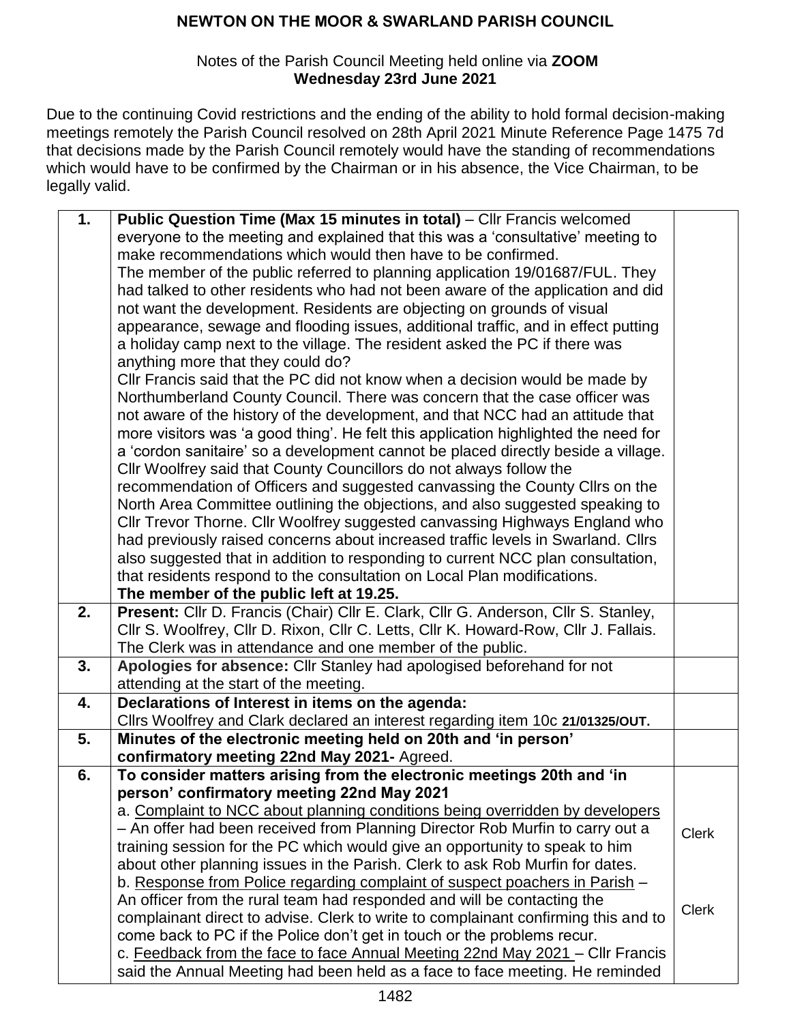#### Notes of the Parish Council Meeting held online via **ZOOM Wednesday 23rd June 2021**

Due to the continuing Covid restrictions and the ending of the ability to hold formal decision-making meetings remotely the Parish Council resolved on 28th April 2021 Minute Reference Page 1475 7d that decisions made by the Parish Council remotely would have the standing of recommendations which would have to be confirmed by the Chairman or in his absence, the Vice Chairman, to be legally valid.

| 1.             | Public Question Time (Max 15 minutes in total) – Cllr Francis welcomed                                                                                                   |              |
|----------------|--------------------------------------------------------------------------------------------------------------------------------------------------------------------------|--------------|
|                | everyone to the meeting and explained that this was a 'consultative' meeting to                                                                                          |              |
|                | make recommendations which would then have to be confirmed.                                                                                                              |              |
|                | The member of the public referred to planning application 19/01687/FUL. They                                                                                             |              |
|                | had talked to other residents who had not been aware of the application and did                                                                                          |              |
|                | not want the development. Residents are objecting on grounds of visual                                                                                                   |              |
|                | appearance, sewage and flooding issues, additional traffic, and in effect putting                                                                                        |              |
|                | a holiday camp next to the village. The resident asked the PC if there was                                                                                               |              |
|                | anything more that they could do?                                                                                                                                        |              |
|                | CIIr Francis said that the PC did not know when a decision would be made by                                                                                              |              |
|                | Northumberland County Council. There was concern that the case officer was                                                                                               |              |
|                |                                                                                                                                                                          |              |
|                | not aware of the history of the development, and that NCC had an attitude that                                                                                           |              |
|                | more visitors was 'a good thing'. He felt this application highlighted the need for<br>a 'cordon sanitaire' so a development cannot be placed directly beside a village. |              |
|                | Cllr Woolfrey said that County Councillors do not always follow the                                                                                                      |              |
|                |                                                                                                                                                                          |              |
|                | recommendation of Officers and suggested canvassing the County Cllrs on the<br>North Area Committee outlining the objections, and also suggested speaking to             |              |
|                | Cllr Trevor Thorne. Cllr Woolfrey suggested canvassing Highways England who                                                                                              |              |
|                | had previously raised concerns about increased traffic levels in Swarland. Cllrs                                                                                         |              |
|                | also suggested that in addition to responding to current NCC plan consultation,                                                                                          |              |
|                | that residents respond to the consultation on Local Plan modifications.                                                                                                  |              |
|                | The member of the public left at 19.25.                                                                                                                                  |              |
| 2.             | Present: Cllr D. Francis (Chair) Cllr E. Clark, Cllr G. Anderson, Cllr S. Stanley,                                                                                       |              |
|                | Cllr S. Woolfrey, Cllr D. Rixon, Cllr C. Letts, Cllr K. Howard-Row, Cllr J. Fallais.                                                                                     |              |
|                | The Clerk was in attendance and one member of the public.                                                                                                                |              |
| 3.             |                                                                                                                                                                          |              |
|                | Apologies for absence: Cllr Stanley had apologised beforehand for not                                                                                                    |              |
|                | attending at the start of the meeting.                                                                                                                                   |              |
| 4.             | Declarations of Interest in items on the agenda:                                                                                                                         |              |
| 5 <sub>1</sub> | Cllrs Woolfrey and Clark declared an interest regarding item 10c 21/01325/OUT.<br>Minutes of the electronic meeting held on 20th and 'in person'                         |              |
|                |                                                                                                                                                                          |              |
|                | confirmatory meeting 22nd May 2021- Agreed.                                                                                                                              |              |
| 6.             | To consider matters arising from the electronic meetings 20th and 'in<br>person' confirmatory meeting 22nd May 2021                                                      |              |
|                | a. Complaint to NCC about planning conditions being overridden by developers                                                                                             |              |
|                | - An offer had been received from Planning Director Rob Murfin to carry out a                                                                                            |              |
|                | training session for the PC which would give an opportunity to speak to him                                                                                              | <b>Clerk</b> |
|                | about other planning issues in the Parish. Clerk to ask Rob Murfin for dates.                                                                                            |              |
|                | b. Response from Police regarding complaint of suspect poachers in Parish –                                                                                              |              |
|                | An officer from the rural team had responded and will be contacting the                                                                                                  |              |
|                | complainant direct to advise. Clerk to write to complainant confirming this and to                                                                                       | <b>Clerk</b> |
|                | come back to PC if the Police don't get in touch or the problems recur.                                                                                                  |              |
|                |                                                                                                                                                                          |              |
|                | c. Feedback from the face to face Annual Meeting 22nd May 2021 - Cllr Francis                                                                                            |              |
|                | said the Annual Meeting had been held as a face to face meeting. He reminded                                                                                             |              |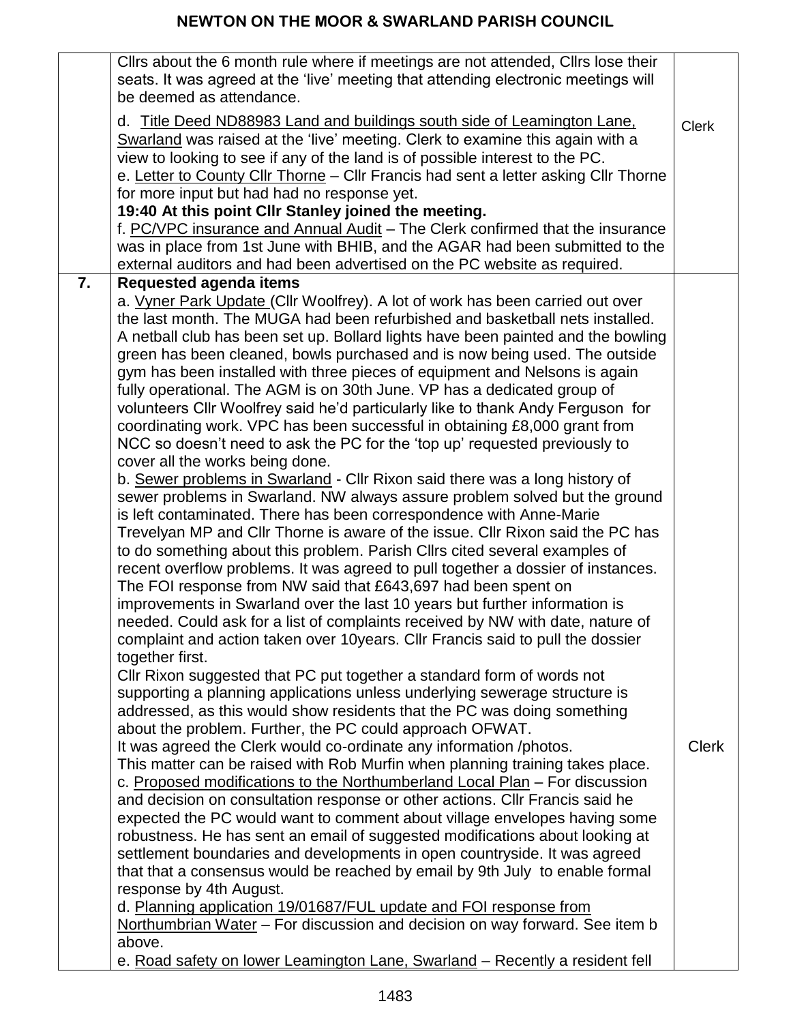|    | Clirs about the 6 month rule where if meetings are not attended, Clirs lose their<br>seats. It was agreed at the 'live' meeting that attending electronic meetings will<br>be deemed as attendance.<br>d. Title Deed ND88983 Land and buildings south side of Leamington Lane.<br>Swarland was raised at the 'live' meeting. Clerk to examine this again with a<br>view to looking to see if any of the land is of possible interest to the PC.<br>e. Letter to County Cllr Thorne - Cllr Francis had sent a letter asking Cllr Thorne<br>for more input but had had no response yet.                                                                                                                                                                                                                                                                                                                                                                                                                                                                                                                                                                                                                                                                                                                                                                                                                                                                                                                                                                                                                                                                                                                                                                                                                                                                                                                                                                                                                                                                                                                                                                                                                                                                                                                                                                                                                                                                                                                                                                                                                                                                                                                                                                                                                                                                        | <b>Clerk</b> |
|----|--------------------------------------------------------------------------------------------------------------------------------------------------------------------------------------------------------------------------------------------------------------------------------------------------------------------------------------------------------------------------------------------------------------------------------------------------------------------------------------------------------------------------------------------------------------------------------------------------------------------------------------------------------------------------------------------------------------------------------------------------------------------------------------------------------------------------------------------------------------------------------------------------------------------------------------------------------------------------------------------------------------------------------------------------------------------------------------------------------------------------------------------------------------------------------------------------------------------------------------------------------------------------------------------------------------------------------------------------------------------------------------------------------------------------------------------------------------------------------------------------------------------------------------------------------------------------------------------------------------------------------------------------------------------------------------------------------------------------------------------------------------------------------------------------------------------------------------------------------------------------------------------------------------------------------------------------------------------------------------------------------------------------------------------------------------------------------------------------------------------------------------------------------------------------------------------------------------------------------------------------------------------------------------------------------------------------------------------------------------------------------------------------------------------------------------------------------------------------------------------------------------------------------------------------------------------------------------------------------------------------------------------------------------------------------------------------------------------------------------------------------------------------------------------------------------------------------------------------------------|--------------|
|    | 19:40 At this point CIIr Stanley joined the meeting.<br>f. PC/VPC insurance and Annual Audit – The Clerk confirmed that the insurance<br>was in place from 1st June with BHIB, and the AGAR had been submitted to the                                                                                                                                                                                                                                                                                                                                                                                                                                                                                                                                                                                                                                                                                                                                                                                                                                                                                                                                                                                                                                                                                                                                                                                                                                                                                                                                                                                                                                                                                                                                                                                                                                                                                                                                                                                                                                                                                                                                                                                                                                                                                                                                                                                                                                                                                                                                                                                                                                                                                                                                                                                                                                        |              |
| 7. | external auditors and had been advertised on the PC website as required.<br><b>Requested agenda items</b><br>a. Vyner Park Update (Cllr Woolfrey). A lot of work has been carried out over<br>the last month. The MUGA had been refurbished and basketball nets installed.<br>A netball club has been set up. Bollard lights have been painted and the bowling<br>green has been cleaned, bowls purchased and is now being used. The outside<br>gym has been installed with three pieces of equipment and Nelsons is again<br>fully operational. The AGM is on 30th June. VP has a dedicated group of<br>volunteers Cllr Woolfrey said he'd particularly like to thank Andy Ferguson for<br>coordinating work. VPC has been successful in obtaining £8,000 grant from<br>NCC so doesn't need to ask the PC for the 'top up' requested previously to<br>cover all the works being done.<br>b. Sewer problems in Swarland - Cllr Rixon said there was a long history of<br>sewer problems in Swarland. NW always assure problem solved but the ground<br>is left contaminated. There has been correspondence with Anne-Marie<br>Trevelyan MP and Cllr Thorne is aware of the issue. Cllr Rixon said the PC has<br>to do something about this problem. Parish Clirs cited several examples of<br>recent overflow problems. It was agreed to pull together a dossier of instances.<br>The FOI response from NW said that £643,697 had been spent on<br>improvements in Swarland over the last 10 years but further information is<br>needed. Could ask for a list of complaints received by NW with date, nature of<br>complaint and action taken over 10years. Cllr Francis said to pull the dossier<br>together first.<br>Cllr Rixon suggested that PC put together a standard form of words not<br>supporting a planning applications unless underlying sewerage structure is<br>addressed, as this would show residents that the PC was doing something<br>about the problem. Further, the PC could approach OFWAT.<br>It was agreed the Clerk would co-ordinate any information /photos.<br>This matter can be raised with Rob Murfin when planning training takes place.<br>c. Proposed modifications to the Northumberland Local Plan – For discussion<br>and decision on consultation response or other actions. Cllr Francis said he<br>expected the PC would want to comment about village envelopes having some<br>robustness. He has sent an email of suggested modifications about looking at<br>settlement boundaries and developments in open countryside. It was agreed<br>that that a consensus would be reached by email by 9th July to enable formal<br>response by 4th August.<br>d. Planning application 19/01687/FUL update and FOI response from<br>Northumbrian Water - For discussion and decision on way forward. See item b<br>above. | <b>Clerk</b> |
|    | e. Road safety on lower Leamington Lane, Swarland - Recently a resident fell                                                                                                                                                                                                                                                                                                                                                                                                                                                                                                                                                                                                                                                                                                                                                                                                                                                                                                                                                                                                                                                                                                                                                                                                                                                                                                                                                                                                                                                                                                                                                                                                                                                                                                                                                                                                                                                                                                                                                                                                                                                                                                                                                                                                                                                                                                                                                                                                                                                                                                                                                                                                                                                                                                                                                                                 |              |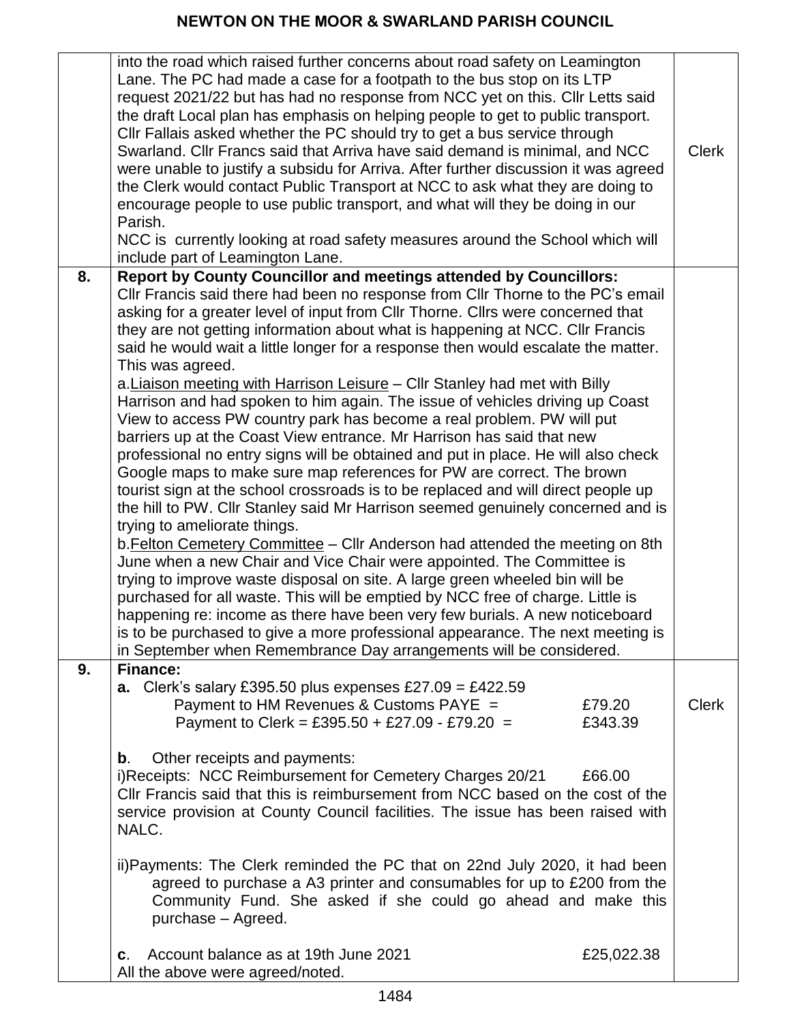|    | into the road which raised further concerns about road safety on Leamington<br>Lane. The PC had made a case for a footpath to the bus stop on its LTP<br>request 2021/22 but has had no response from NCC yet on this. Cllr Letts said<br>the draft Local plan has emphasis on helping people to get to public transport.<br>Cllr Fallais asked whether the PC should try to get a bus service through<br>Swarland. Cllr Francs said that Arriva have said demand is minimal, and NCC<br>were unable to justify a subsidu for Arriva. After further discussion it was agreed<br>the Clerk would contact Public Transport at NCC to ask what they are doing to<br>encourage people to use public transport, and what will they be doing in our<br>Parish.<br>NCC is currently looking at road safety measures around the School which will<br>include part of Leamington Lane.                                                                                                                                                                                                                                                                                                                                                                                                                                                                                                                                                                                                                                                                                                                                       | <b>Clerk</b> |
|----|---------------------------------------------------------------------------------------------------------------------------------------------------------------------------------------------------------------------------------------------------------------------------------------------------------------------------------------------------------------------------------------------------------------------------------------------------------------------------------------------------------------------------------------------------------------------------------------------------------------------------------------------------------------------------------------------------------------------------------------------------------------------------------------------------------------------------------------------------------------------------------------------------------------------------------------------------------------------------------------------------------------------------------------------------------------------------------------------------------------------------------------------------------------------------------------------------------------------------------------------------------------------------------------------------------------------------------------------------------------------------------------------------------------------------------------------------------------------------------------------------------------------------------------------------------------------------------------------------------------------|--------------|
| 8. | <b>Report by County Councillor and meetings attended by Councillors:</b>                                                                                                                                                                                                                                                                                                                                                                                                                                                                                                                                                                                                                                                                                                                                                                                                                                                                                                                                                                                                                                                                                                                                                                                                                                                                                                                                                                                                                                                                                                                                            |              |
|    | CIIr Francis said there had been no response from CIIr Thorne to the PC's email<br>asking for a greater level of input from Cllr Thorne. Cllrs were concerned that<br>they are not getting information about what is happening at NCC. Cllr Francis<br>said he would wait a little longer for a response then would escalate the matter.<br>This was agreed.<br>a. Liaison meeting with Harrison Leisure – Cllr Stanley had met with Billy<br>Harrison and had spoken to him again. The issue of vehicles driving up Coast<br>View to access PW country park has become a real problem. PW will put<br>barriers up at the Coast View entrance. Mr Harrison has said that new<br>professional no entry signs will be obtained and put in place. He will also check<br>Google maps to make sure map references for PW are correct. The brown<br>tourist sign at the school crossroads is to be replaced and will direct people up<br>the hill to PW. Cllr Stanley said Mr Harrison seemed genuinely concerned and is<br>trying to ameliorate things.<br>b. Felton Cemetery Committee - Cllr Anderson had attended the meeting on 8th<br>June when a new Chair and Vice Chair were appointed. The Committee is<br>trying to improve waste disposal on site. A large green wheeled bin will be<br>purchased for all waste. This will be emptied by NCC free of charge. Little is<br>happening re: income as there have been very few burials. A new noticeboard<br>is to be purchased to give a more professional appearance. The next meeting is<br>in September when Remembrance Day arrangements will be considered. |              |
| 9. | <b>Finance:</b><br>a. Clerk's salary £395.50 plus expenses £27.09 = £422.59<br>Payment to HM Revenues & Customs PAYE =<br>£79.20<br>Payment to Clerk = £395.50 + £27.09 - £79.20 =<br>£343.39<br>Other receipts and payments:<br>b.<br>i)Receipts: NCC Reimbursement for Cemetery Charges 20/21<br>£66.00<br>CIIr Francis said that this is reimbursement from NCC based on the cost of the<br>service provision at County Council facilities. The issue has been raised with<br>NALC.<br>ii)Payments: The Clerk reminded the PC that on 22nd July 2020, it had been<br>agreed to purchase a A3 printer and consumables for up to £200 from the<br>Community Fund. She asked if she could go ahead and make this<br>purchase - Agreed.<br>Account balance as at 19th June 2021<br>£25,022.38<br>C.                                                                                                                                                                                                                                                                                                                                                                                                                                                                                                                                                                                                                                                                                                                                                                                                                  | <b>Clerk</b> |
|    | All the above were agreed/noted.                                                                                                                                                                                                                                                                                                                                                                                                                                                                                                                                                                                                                                                                                                                                                                                                                                                                                                                                                                                                                                                                                                                                                                                                                                                                                                                                                                                                                                                                                                                                                                                    |              |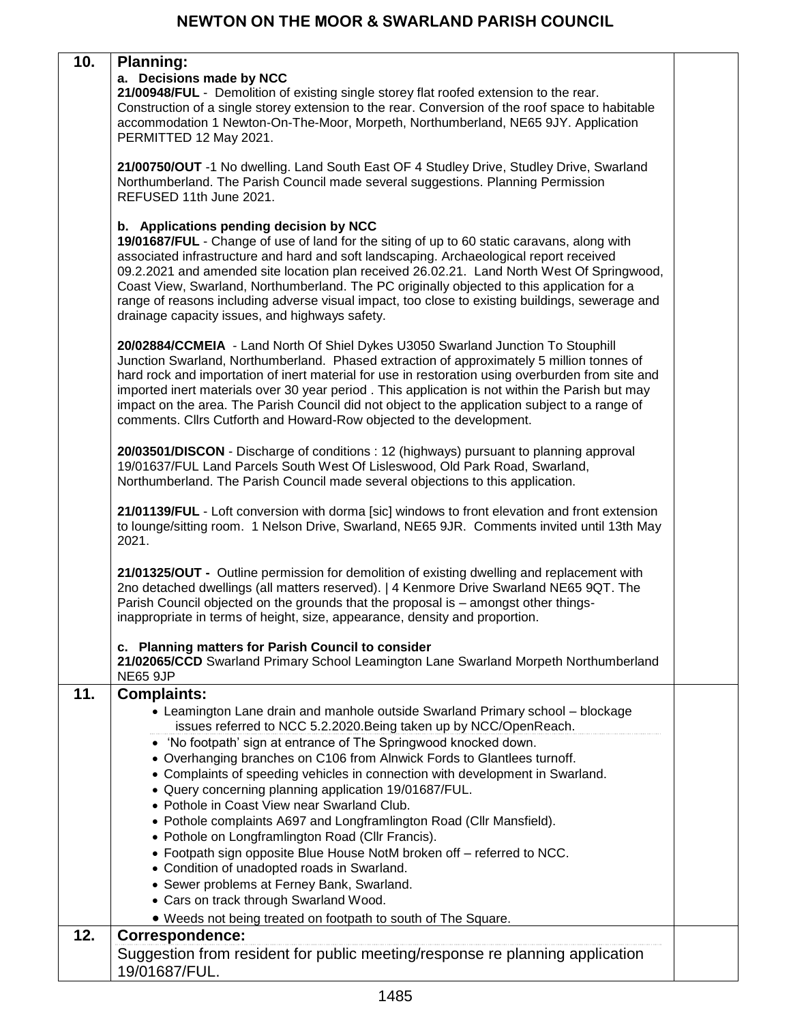| 10. | <b>Planning:</b><br>a. Decisions made by NCC<br>21/00948/FUL - Demolition of existing single storey flat roofed extension to the rear.<br>Construction of a single storey extension to the rear. Conversion of the roof space to habitable<br>accommodation 1 Newton-On-The-Moor, Morpeth, Northumberland, NE65 9JY. Application<br>PERMITTED 12 May 2021.<br>21/00750/OUT -1 No dwelling. Land South East OF 4 Studley Drive, Studley Drive, Swarland<br>Northumberland. The Parish Council made several suggestions. Planning Permission<br>REFUSED 11th June 2021.<br>b. Applications pending decision by NCC<br>19/01687/FUL - Change of use of land for the siting of up to 60 static caravans, along with<br>associated infrastructure and hard and soft landscaping. Archaeological report received<br>09.2.2021 and amended site location plan received 26.02.21. Land North West Of Springwood,<br>Coast View, Swarland, Northumberland. The PC originally objected to this application for a<br>range of reasons including adverse visual impact, too close to existing buildings, sewerage and<br>drainage capacity issues, and highways safety.<br>20/02884/CCMEIA - Land North Of Shiel Dykes U3050 Swarland Junction To Stouphill<br>Junction Swarland, Northumberland. Phased extraction of approximately 5 million tonnes of<br>hard rock and importation of inert material for use in restoration using overburden from site and<br>imported inert materials over 30 year period. This application is not within the Parish but may<br>impact on the area. The Parish Council did not object to the application subject to a range of<br>comments. Clirs Cutforth and Howard-Row objected to the development.<br>20/03501/DISCON - Discharge of conditions : 12 (highways) pursuant to planning approval<br>19/01637/FUL Land Parcels South West Of Lisleswood, Old Park Road, Swarland,<br>Northumberland. The Parish Council made several objections to this application.<br>21/01139/FUL - Loft conversion with dorma [sic] windows to front elevation and front extension |  |
|-----|------------------------------------------------------------------------------------------------------------------------------------------------------------------------------------------------------------------------------------------------------------------------------------------------------------------------------------------------------------------------------------------------------------------------------------------------------------------------------------------------------------------------------------------------------------------------------------------------------------------------------------------------------------------------------------------------------------------------------------------------------------------------------------------------------------------------------------------------------------------------------------------------------------------------------------------------------------------------------------------------------------------------------------------------------------------------------------------------------------------------------------------------------------------------------------------------------------------------------------------------------------------------------------------------------------------------------------------------------------------------------------------------------------------------------------------------------------------------------------------------------------------------------------------------------------------------------------------------------------------------------------------------------------------------------------------------------------------------------------------------------------------------------------------------------------------------------------------------------------------------------------------------------------------------------------------------------------------------------------------------------------------------------------------------------------------------------------------------|--|
|     | to lounge/sitting room. 1 Nelson Drive, Swarland, NE65 9JR. Comments invited until 13th May<br>2021.<br>21/01325/OUT - Outline permission for demolition of existing dwelling and replacement with<br>2no detached dwellings (all matters reserved).   4 Kenmore Drive Swarland NE65 9QT. The<br>Parish Council objected on the grounds that the proposal is - amongst other things-<br>inappropriate in terms of height, size, appearance, density and proportion.<br>c. Planning matters for Parish Council to consider                                                                                                                                                                                                                                                                                                                                                                                                                                                                                                                                                                                                                                                                                                                                                                                                                                                                                                                                                                                                                                                                                                                                                                                                                                                                                                                                                                                                                                                                                                                                                                      |  |
|     | 21/02065/CCD Swarland Primary School Leamington Lane Swarland Morpeth Northumberland<br><b>NE65 9JP</b>                                                                                                                                                                                                                                                                                                                                                                                                                                                                                                                                                                                                                                                                                                                                                                                                                                                                                                                                                                                                                                                                                                                                                                                                                                                                                                                                                                                                                                                                                                                                                                                                                                                                                                                                                                                                                                                                                                                                                                                        |  |
| 11. | <b>Complaints:</b><br>• Leamington Lane drain and manhole outside Swarland Primary school - blockage<br>issues referred to NCC 5.2.2020. Being taken up by NCC/OpenReach.<br>• 'No footpath' sign at entrance of The Springwood knocked down.<br>• Overhanging branches on C106 from Alnwick Fords to Glantlees turnoff.<br>• Complaints of speeding vehicles in connection with development in Swarland.<br>· Query concerning planning application 19/01687/FUL.<br>• Pothole in Coast View near Swarland Club.<br>• Pothole complaints A697 and Longframlington Road (Cllr Mansfield).<br>• Pothole on Longframlington Road (Cllr Francis).<br>• Footpath sign opposite Blue House NotM broken off - referred to NCC.<br>• Condition of unadopted roads in Swarland.<br>• Sewer problems at Ferney Bank, Swarland.<br>• Cars on track through Swarland Wood.<br>. Weeds not being treated on footpath to south of The Square.                                                                                                                                                                                                                                                                                                                                                                                                                                                                                                                                                                                                                                                                                                                                                                                                                                                                                                                                                                                                                                                                                                                                                               |  |
| 12. | Correspondence:<br>Suggestion from resident for public meeting/response re planning application<br>19/01687/FUL.                                                                                                                                                                                                                                                                                                                                                                                                                                                                                                                                                                                                                                                                                                                                                                                                                                                                                                                                                                                                                                                                                                                                                                                                                                                                                                                                                                                                                                                                                                                                                                                                                                                                                                                                                                                                                                                                                                                                                                               |  |